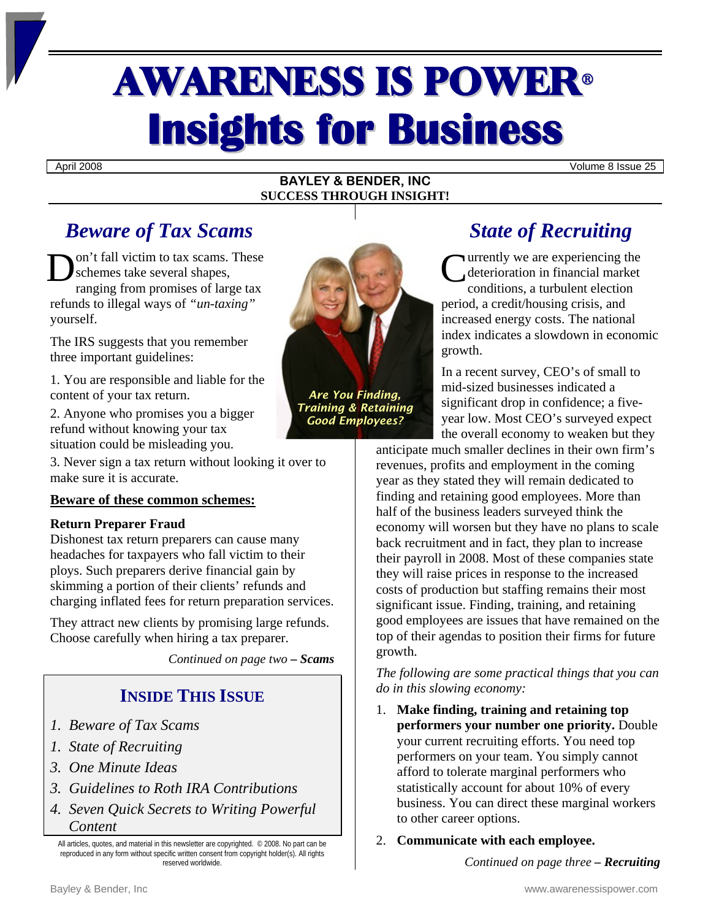# AWARENESS IS POWER<sup>ü</sup> **Insights for Business**

April 2008 Volume 8 Issue 25

#### **BAYLEY & BENDER, INC SUCCESS THROUGH INSIGHT!**

## *Beware of Tax Scams*

on't fall victim to tax scams. These D C schemes take several shapes, ranging from promises of large tax refunds to illegal ways of *"un-taxing"* yourself.

The IRS suggests that you remember three important guidelines:

1. You are responsible and liable for the content of your tax return.

2. Anyone who promises you a bigger refund without knowing your tax situation could be misleading you.

3. Never sign a tax return without looking it over to make sure it is accurate.

#### **Beware of these common schemes:**

#### **Return Preparer Fraud**

Dishonest tax return preparers can cause many headaches for taxpayers who fall victim to their ploys. Such preparers derive financial gain by skimming a portion of their clients' refunds and charging inflated fees for return preparation services.

They attract new clients by promising large refunds. Choose carefully when hiring a tax preparer.

*Continued on page two – Scams* 

### **INSIDE THIS ISSUE**

- *1. Beware of Tax Scams*
- *1. State of Recruiting*
- *3. One Minute Ideas*
- *3. Guidelines to Roth IRA Contributions*
- *4. Seven Quick Secrets to Writing Powerful Content*

All articles, quotes, and material in this newsletter are copyrighted. © 2008. No part can be reproduced in any form without specific written consent from copyright holder(s). All rights reserved worldwide.



*Are You Finding, Training & Retaining Good Employees?* 

# *State of Recruiting*

urrently we are experiencing the deterioration in financial market conditions, a turbulent election period, a credit/housing crisis, and increased energy costs. The national index indicates a slowdown in economic growth.

In a recent survey, CEO's of small to mid-sized businesses indicated a significant drop in confidence; a fiveyear low. Most CEO's surveyed expect the overall economy to weaken but they

anticipate much smaller declines in their own firm's revenues, profits and employment in the coming year as they stated they will remain dedicated to finding and retaining good employees. More than half of the business leaders surveyed think the economy will worsen but they have no plans to scale back recruitment and in fact, they plan to increase their payroll in 2008. Most of these companies state they will raise prices in response to the increased costs of production but staffing remains their most significant issue. Finding, training, and retaining good employees are issues that have remained on the top of their agendas to position their firms for future growth.

*The following are some practical things that you can do in this slowing economy:* 

- 1. **Make finding, training and retaining top performers your number one priority.** Double your current recruiting efforts. You need top performers on your team. You simply cannot afford to tolerate marginal performers who statistically account for about 10% of every business. You can direct these marginal workers to other career options.
- 2. **Communicate with each employee.**

*Continued on page three – Recruiting*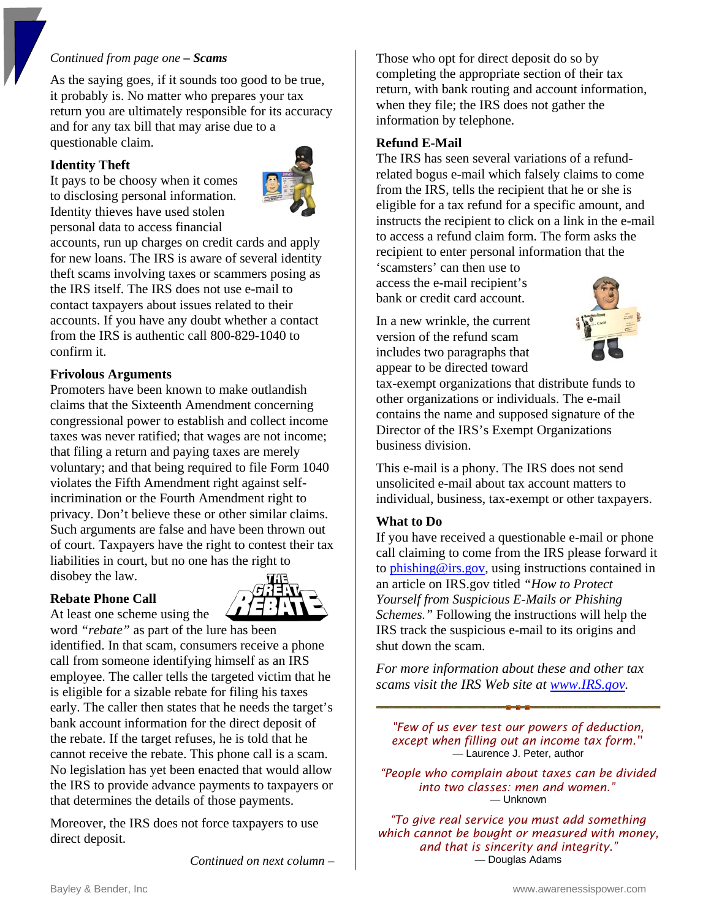#### *Continued from page one – Scams*

As the saying goes, if it sounds too good to be true, it probably is. No matter who prepares your tax return you are ultimately responsible for its accuracy and for any tax bill that may arise due to a questionable claim.

#### **Identity Theft**

It pays to be choosy when it comes to disclosing personal information. Identity thieves have used stolen personal data to access financial



accounts, run up charges on credit cards and apply for new loans. The IRS is aware of several identity theft scams involving taxes or scammers posing as the IRS itself. The IRS does not use e-mail to contact taxpayers about issues related to their accounts. If you have any doubt whether a contact from the IRS is authentic call 800-829-1040 to confirm it.

#### **Frivolous Arguments**

Promoters have been known to make outlandish claims that the Sixteenth Amendment concerning congressional power to establish and collect income taxes was never ratified; that wages are not income; that filing a return and paying taxes are merely voluntary; and that being required to file Form 1040 violates the Fifth Amendment right against selfincrimination or the Fourth Amendment right to privacy. Don't believe these or other similar claims. Such arguments are false and have been thrown out of court. Taxpayers have the right to contest their tax liabilities in court, but no one has the right to disobey the law.

#### **Rebate Phone Call**



At least one scheme using the word *"rebate"* as part of the lure has been

identified. In that scam, consumers receive a phone call from someone identifying himself as an IRS employee. The caller tells the targeted victim that he is eligible for a sizable rebate for filing his taxes early. The caller then states that he needs the target's bank account information for the direct deposit of the rebate. If the target refuses, he is told that he cannot receive the rebate. This phone call is a scam. No legislation has yet been enacted that would allow the IRS to provide advance payments to taxpayers or that determines the details of those payments.

Moreover, the IRS does not force taxpayers to use direct deposit.

*Continued on next column –* 

Those who opt for direct deposit do so by completing the appropriate section of their tax return, with bank routing and account information, when they file; the IRS does not gather the information by telephone.

#### **Refund E-Mail**

The IRS has seen several variations of a refundrelated bogus e-mail which falsely claims to come from the IRS, tells the recipient that he or she is eligible for a tax refund for a specific amount, and instructs the recipient to click on a link in the e-mail to access a refund claim form. The form asks the recipient to enter personal information that the

'scamsters' can then use to access the e-mail recipient's bank or credit card account.

In a new wrinkle, the current version of the refund scam includes two paragraphs that appear to be directed toward



tax-exempt organizations that distribute funds to other organizations or individuals. The e-mail contains the name and supposed signature of the Director of the IRS's Exempt Organizations business division.

This e-mail is a phony. The IRS does not send unsolicited e-mail about tax account matters to individual, business, tax-exempt or other taxpayers.

#### **What to Do**

If you have received a questionable e-mail or phone call claiming to come from the IRS please forward it to [phishing@irs.gov,](mailto:phishing@irs.gov) using instructions contained in an article on IRS.gov titled *"How to Protect Yourself from Suspicious E-Mails or Phishing Schemes."* Following the instructions will help the IRS track the suspicious e-mail to its origins and shut down the scam.

*For more information about these and other tax scams visit the IRS Web site at [www.IRS.gov.](http://www.irs.gov/)* 

*"Few of us ever test our powers of deduction, except when filling out an income tax form.''* — Laurence J. Peter, author

*"People who complain about taxes can be divided into two classes: men and women."*  — Unknown

*"To give real service you must add something which cannot be bought or measured with money, and that is sincerity and integrity."*  — Douglas Adams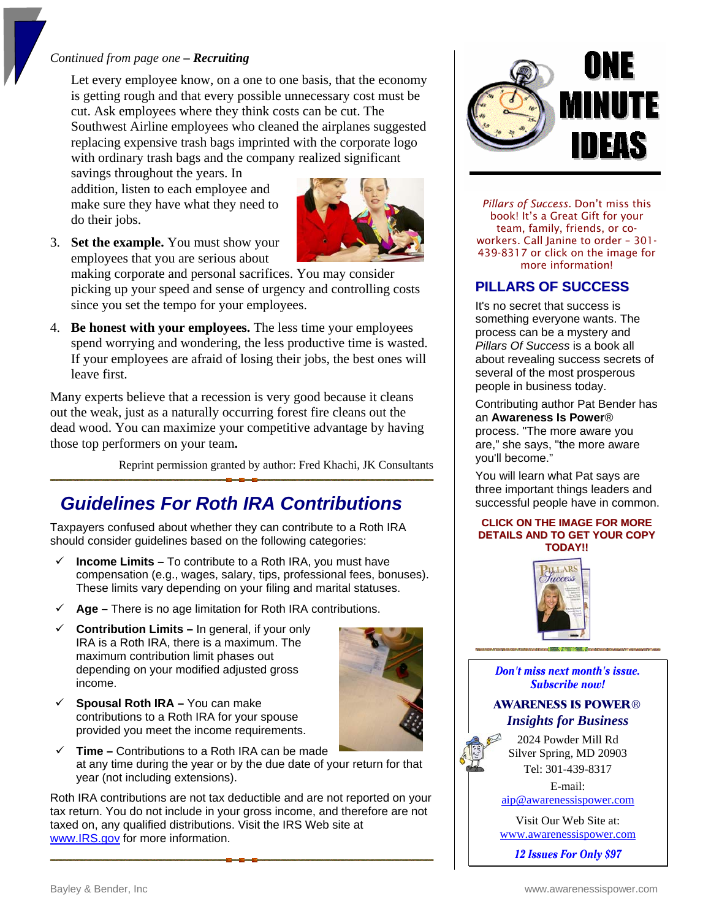#### *Continued from page one – Recruiting*

Let every employee know, on a one to one basis, that the economy is getting rough and that every possible unnecessary cost must be cut. Ask employees where they think costs can be cut. The Southwest Airline employees who cleaned the airplanes suggested replacing expensive trash bags imprinted with the corporate logo with ordinary trash bags and the company realized significant

savings throughout the years. In addition, listen to each employee and make sure they have what they need to do their jobs.



3. **Set the example.** You must show your employees that you are serious about

making corporate and personal sacrifices. You may consider picking up your speed and sense of urgency and controlling costs since you set the tempo for your employees.

4. **Be honest with your employees.** The less time your employees spend worrying and wondering, the less productive time is wasted. If your employees are afraid of losing their jobs, the best ones will leave first.

Many experts believe that a recession is very good because it cleans out the weak, just as a naturally occurring forest fire cleans out the dead wood. You can maximize your competitive advantage by having those top performers on your team**.**

Reprint permission granted by author: Fred Khachi, JK Consultants

## *Guidelines For Roth IRA Contributions*

Taxpayers confused about whether they can contribute to a Roth IRA should consider guidelines based on the following categories:

- $\checkmark$  **Income Limits –** To contribute to a Roth IRA, you must have compensation (e.g., wages, salary, tips, professional fees, bonuses). These limits vary depending on your filing and marital statuses.
- 9 **Age** There is no age limitation for Roth IRA contributions.
- **Contribution Limits In general, if your only** IRA is a Roth IRA, there is a maximum. The maximum contribution limit phases out depending on your modified adjusted gross income.
- **Spousal Roth IRA You can make** contributions to a Roth IRA for your spouse provided you meet the income requirements.



**Time – Contributions to a Roth IRA can be made** at any time during the year or by the due date of your return for that year (not including extensions).

Roth IRA contributions are not tax deductible and are not reported on your tax return. You do not include in your gross income, and therefore are not taxed on, any qualified distributions. Visit the IRS Web site at [www.IRS.gov](http://www.irs.gov/) for more information.



*Pillars of Success.* Don't miss this book! It's a Great Gift for your team, family, friends, or coworkers. Call Janine to order – 301- 439-8317 or click on the image for more information!

#### **PILLARS OF SUCCESS**

It's no secret that success is something everyone wants. The process can be a mystery and *Pillars Of Success* is a book all about revealing success secrets of several of the most prosperous people in business today.

Contributing author Pat Bender has an **Awareness Is Power**® process. "The more aware you are," she says, "the more aware you'll become."

You will learn what Pat says are three important things leaders and successful people have in common.

#### **CLICK ON THE IMAGE FOR MORE DETAILS AND TO GET YOUR COPY TODAY!!**



Don't miss next month's issue. **Subscribe now!** 

#### **AWARENESS IS POWER®** *Insights for Business*

2024 Powder Mill Rd Silver Spring, MD 20903 Tel: 301-439-8317

E-mail:

[aip@awarenessispower.com](mailto:aip@awarenessispower.com)

Visit Our Web Site at: [www.awarenessispower.com](http://www.awarenessispower.com/)

12 **Issues For Only \$97**